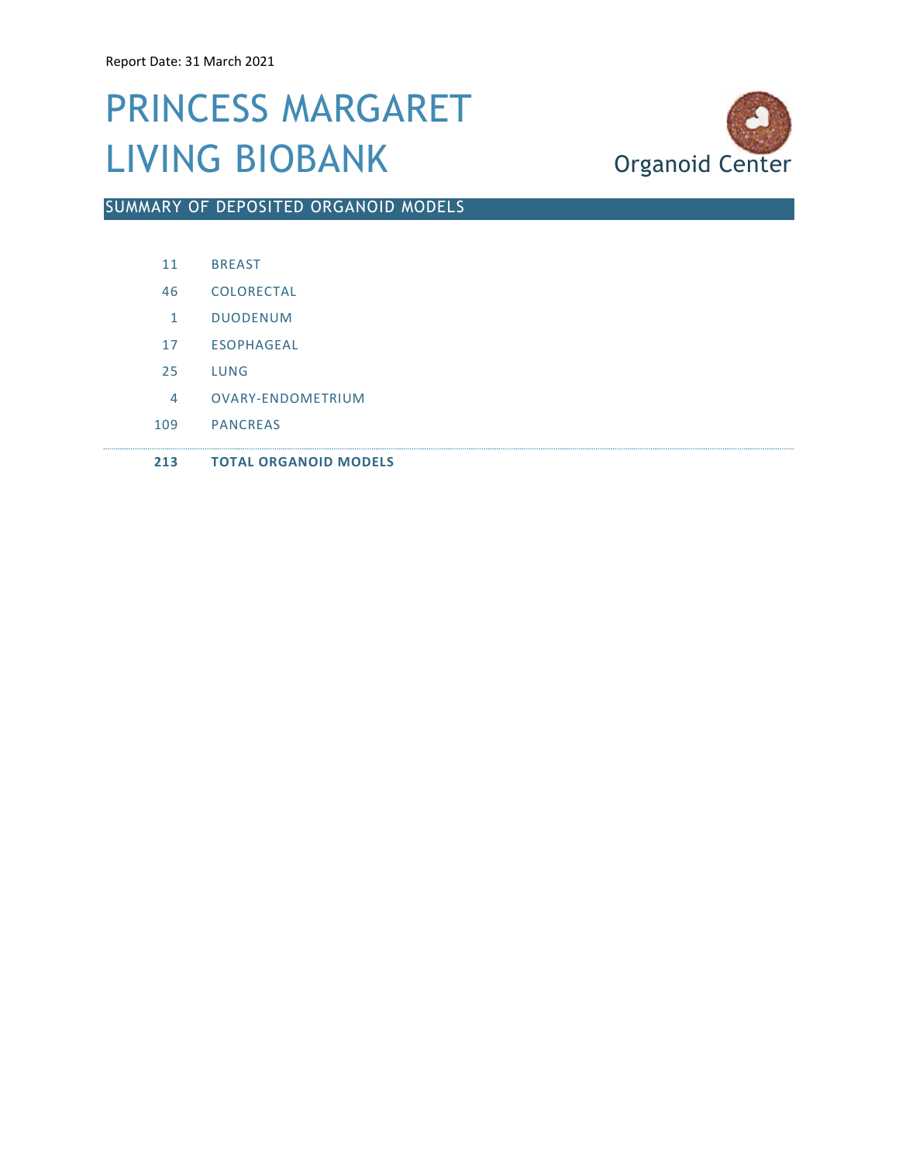### PRINCESS MARGARET LIVING BIOBANK Organoid Center



SUMMARY OF DEPOSITED ORGANOID MODELS

|  | <b>BREAST</b> |
|--|---------------|
|--|---------------|

- 46 COLORECTAL
- 1 DUODENUM
- 17 ESOPHAGEAL
- 25 LUNG
- 4 OVARY-ENDOMETRIUM
- 109 PANCREAS
- 213 TOTAL ORGANOID MODELS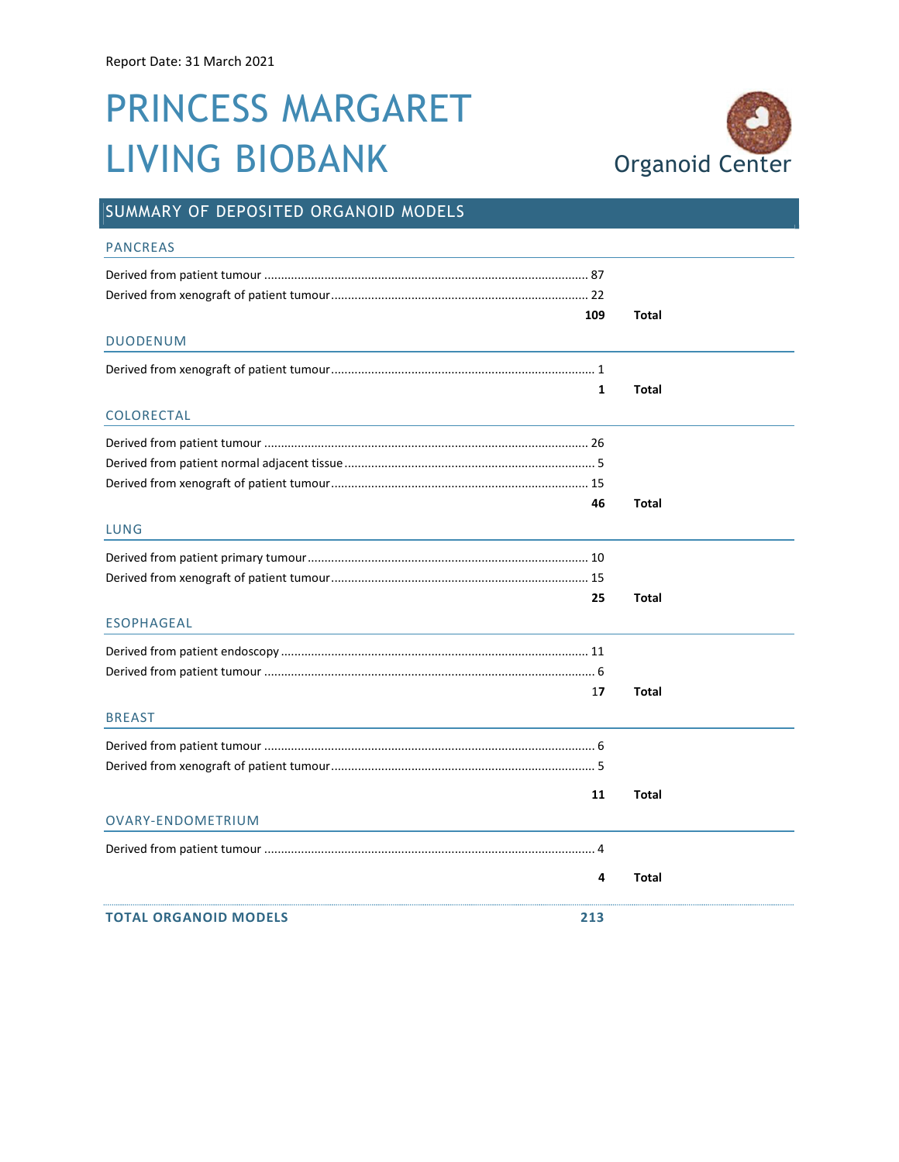# PRINCESS MARGARET LIVING BIOBANK Organoid Center



### SUMMARY OF DEPOSITED ORGANOID MODELS

| <b>PANCREAS</b>                     |              |              |
|-------------------------------------|--------------|--------------|
|                                     |              |              |
| 109<br><b>DUODENUM</b>              |              | Total        |
|                                     | $\mathbf{1}$ | Total        |
| COLORECTAL                          |              |              |
|                                     |              |              |
|                                     | 46           | <b>Total</b> |
| LUNG                                |              |              |
|                                     |              |              |
|                                     | 25           | <b>Total</b> |
| <b>ESOPHAGEAL</b>                   |              |              |
|                                     |              |              |
|                                     | 17           | <b>Total</b> |
| <b>BREAST</b>                       |              |              |
|                                     |              |              |
|                                     | 11           | <b>Total</b> |
| OVARY-ENDOMETRIUM                   |              |              |
|                                     |              |              |
|                                     | 4            | Total        |
| <b>TOTAL ORGANOID MODELS</b><br>213 |              |              |